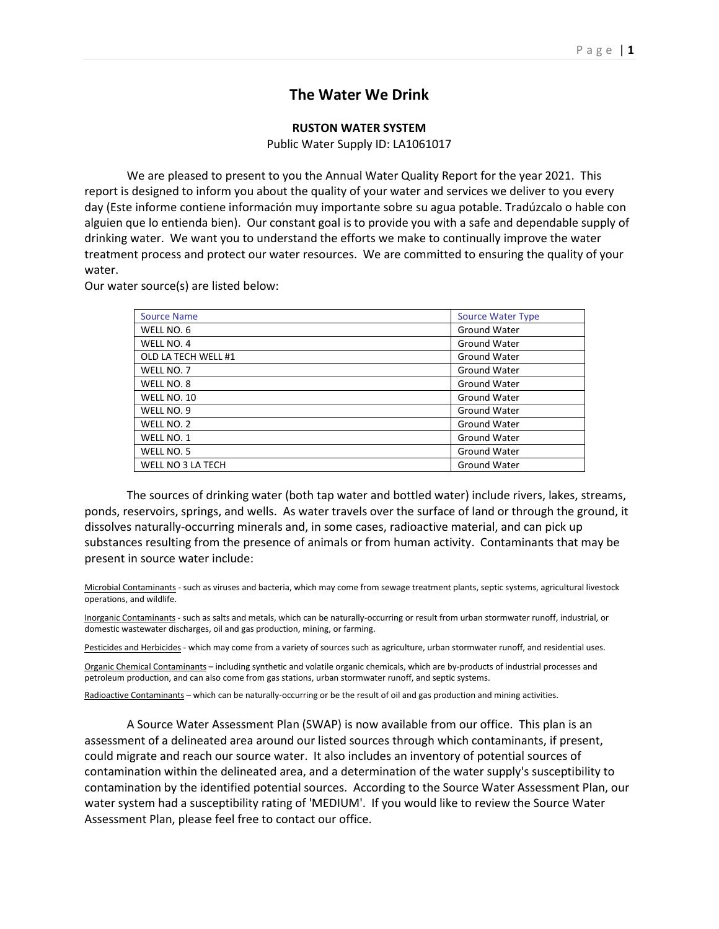## **The Water We Drink**

## **RUSTON WATER SYSTEM**

Public Water Supply ID: LA1061017

We are pleased to present to you the Annual Water Quality Report for the year 2021. This report is designed to inform you about the quality of your water and services we deliver to you every day (Este informe contiene información muy importante sobre su agua potable. Tradúzcalo o hable con alguien que lo entienda bien). Our constant goal is to provide you with a safe and dependable supply of drinking water. We want you to understand the efforts we make to continually improve the water treatment process and protect our water resources. We are committed to ensuring the quality of your water.

Our water source(s) are listed below:

| <b>Source Name</b>  | <b>Source Water Type</b> |
|---------------------|--------------------------|
| WELL NO. 6          | Ground Water             |
| WELL NO. 4          | Ground Water             |
| OLD LA TECH WELL #1 | Ground Water             |
| WELL NO. 7          | Ground Water             |
| WELL NO. 8          | Ground Water             |
| WELL NO. 10         | <b>Ground Water</b>      |
| WELL NO. 9          | Ground Water             |
| WELL NO. 2          | <b>Ground Water</b>      |
| WELL NO. 1          | <b>Ground Water</b>      |
| WELL NO. 5          | Ground Water             |
| WELL NO 3 LA TECH   | <b>Ground Water</b>      |

The sources of drinking water (both tap water and bottled water) include rivers, lakes, streams, ponds, reservoirs, springs, and wells. As water travels over the surface of land or through the ground, it dissolves naturally-occurring minerals and, in some cases, radioactive material, and can pick up substances resulting from the presence of animals or from human activity. Contaminants that may be present in source water include:

Microbial Contaminants - such as viruses and bacteria, which may come from sewage treatment plants, septic systems, agricultural livestock operations, and wildlife.

Inorganic Contaminants - such as salts and metals, which can be naturally-occurring or result from urban stormwater runoff, industrial, or domestic wastewater discharges, oil and gas production, mining, or farming.

Pesticides and Herbicides - which may come from a variety of sources such as agriculture, urban stormwater runoff, and residential uses.

Organic Chemical Contaminants – including synthetic and volatile organic chemicals, which are by-products of industrial processes and petroleum production, and can also come from gas stations, urban stormwater runoff, and septic systems.

Radioactive Contaminants – which can be naturally-occurring or be the result of oil and gas production and mining activities.

A Source Water Assessment Plan (SWAP) is now available from our office. This plan is an assessment of a delineated area around our listed sources through which contaminants, if present, could migrate and reach our source water. It also includes an inventory of potential sources of contamination within the delineated area, and a determination of the water supply's susceptibility to contamination by the identified potential sources. According to the Source Water Assessment Plan, our water system had a susceptibility rating of 'MEDIUM'. If you would like to review the Source Water Assessment Plan, please feel free to contact our office.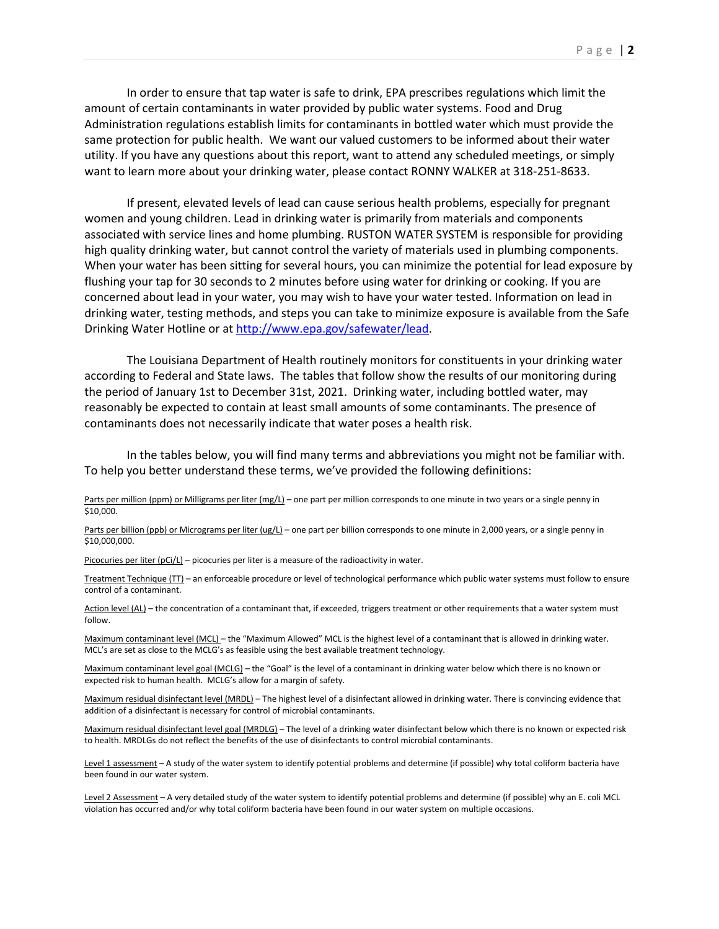In order to ensure that tap water is safe to drink, EPA prescribes regulations which limit the amount of certain contaminants in water provided by public water systems. Food and Drug Administration regulations establish limits for contaminants in bottled water which must provide the same protection for public health. We want our valued customers to be informed about their water utility. If you have any questions about this report, want to attend any scheduled meetings, or simply want to learn more about your drinking water, please contact RONNY WALKER at 318-251-8633.

If present, elevated levels of lead can cause serious health problems, especially for pregnant women and young children. Lead in drinking water is primarily from materials and components associated with service lines and home plumbing. RUSTON WATER SYSTEM is responsible for providing high quality drinking water, but cannot control the variety of materials used in plumbing components. When your water has been sitting for several hours, you can minimize the potential for lead exposure by flushing your tap for 30 seconds to 2 minutes before using water for drinking or cooking. If you are concerned about lead in your water, you may wish to have your water tested. Information on lead in drinking water, testing methods, and steps you can take to minimize exposure is available from the Safe Drinking Water Hotline or at [http://www.epa.gov/safewater/lead.](http://www.epa.gov/safewater/lead)

The Louisiana Department of Health routinely monitors for constituents in your drinking water according to Federal and State laws. The tables that follow show the results of our monitoring during the period of January 1st to December 31st, 2021. Drinking water, including bottled water, may reasonably be expected to contain at least small amounts of some contaminants. The presence of contaminants does not necessarily indicate that water poses a health risk.

In the tables below, you will find many terms and abbreviations you might not be familiar with. To help you better understand these terms, we've provided the following definitions:

Parts per million (ppm) or Milligrams per liter (mg/L) – one part per million corresponds to one minute in two years or a single penny in \$10,000.

Parts per billion (ppb) or Micrograms per liter (ug/L) – one part per billion corresponds to one minute in 2,000 years, or a single penny in \$10,000,000.

Picocuries per liter (pCi/L) - picocuries per liter is a measure of the radioactivity in water.

Treatment Technique (TT) – an enforceable procedure or level of technological performance which public water systems must follow to ensure control of a contaminant.

Action level (AL) – the concentration of a contaminant that, if exceeded, triggers treatment or other requirements that a water system must follow.

Maximum contaminant level (MCL) – the "Maximum Allowed" MCL is the highest level of a contaminant that is allowed in drinking water. MCL's are set as close to the MCLG's as feasible using the best available treatment technology.

Maximum contaminant level goal (MCLG) – the "Goal" is the level of a contaminant in drinking water below which there is no known or expected risk to human health. MCLG's allow for a margin of safety.

Maximum residual disinfectant level (MRDL) – The highest level of a disinfectant allowed in drinking water. There is convincing evidence that addition of a disinfectant is necessary for control of microbial contaminants.

Maximum residual disinfectant level goal (MRDLG) – The level of a drinking water disinfectant below which there is no known or expected risk to health. MRDLGs do not reflect the benefits of the use of disinfectants to control microbial contaminants.

Level 1 assessment - A study of the water system to identify potential problems and determine (if possible) why total coliform bacteria have been found in our water system.

Level 2 Assessment - A very detailed study of the water system to identify potential problems and determine (if possible) why an E. coli MCL violation has occurred and/or why total coliform bacteria have been found in our water system on multiple occasions.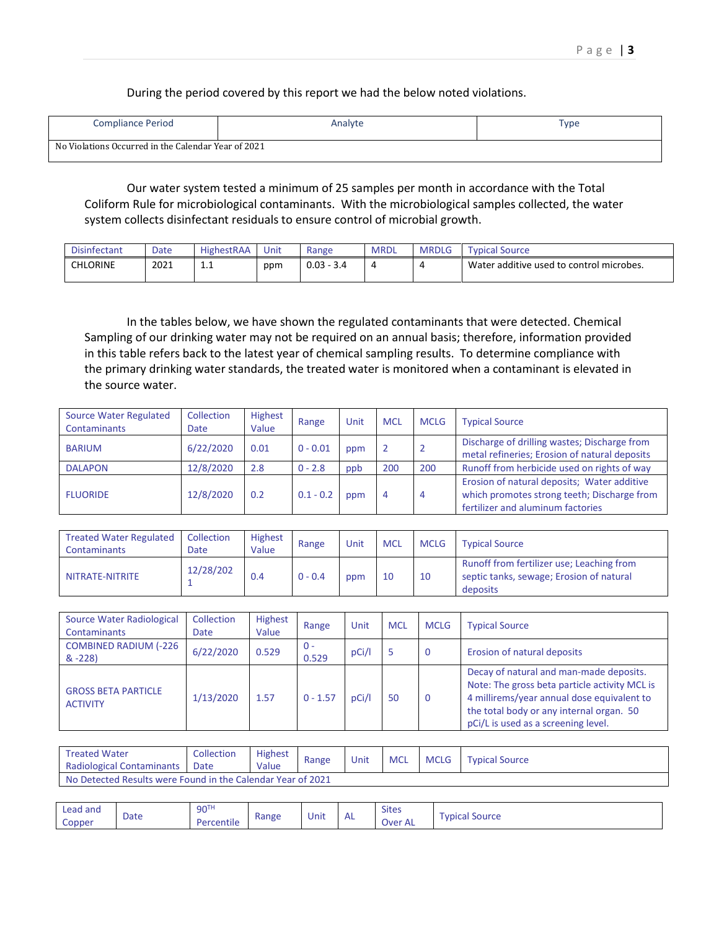During the period covered by this report we had the below noted violations.

| <b>Compliance Period</b>                            | Analyte | Type |
|-----------------------------------------------------|---------|------|
| No Violations Occurred in the Calendar Year of 2021 |         |      |

Our water system tested a minimum of 25 samples per month in accordance with the Total Coliform Rule for microbiological contaminants. With the microbiological samples collected, the water system collects disinfectant residuals to ensure control of microbial growth.

| <b>Disinfectant</b> | Date | <b>HighestRAA</b> | Unit | Range        | <b>MRDL</b> | <b>MRDLG</b>             | <b>Typical Source</b>                    |
|---------------------|------|-------------------|------|--------------|-------------|--------------------------|------------------------------------------|
| CHLORINE            | 2021 | <b>.</b>          | ppm  | $0.03 - 3.4$ | 4           | $\overline{\phantom{a}}$ | Water additive used to control microbes. |

In the tables below, we have shown the regulated contaminants that were detected. Chemical Sampling of our drinking water may not be required on an annual basis; therefore, information provided in this table refers back to the latest year of chemical sampling results. To determine compliance with the primary drinking water standards, the treated water is monitored when a contaminant is elevated in the source water.

| <b>Source Water Regulated</b> | Collection  | Highest | Range       | Unit | <b>MCL</b> | <b>MCLG</b> | <b>Typical Source</b>                                                                                                           |
|-------------------------------|-------------|---------|-------------|------|------------|-------------|---------------------------------------------------------------------------------------------------------------------------------|
| Contaminants                  | <b>Date</b> | Value   |             |      |            |             |                                                                                                                                 |
| <b>BARIUM</b>                 | 6/22/2020   | 0.01    | $0 - 0.01$  | ppm  |            |             | Discharge of drilling wastes; Discharge from<br>metal refineries; Erosion of natural deposits                                   |
| <b>DALAPON</b>                | 12/8/2020   | 2.8     | $0 - 2.8$   | ppb  | 200        | 200         | Runoff from herbicide used on rights of way                                                                                     |
| <b>FLUORIDE</b>               | 12/8/2020   | 0.2     | $0.1 - 0.2$ | ppm  | 4          | 4           | Erosion of natural deposits; Water additive<br>which promotes strong teeth; Discharge from<br>fertilizer and aluminum factories |

| <b>Treated Water Regulated</b><br><b>Contaminants</b> | Collection<br>Date | Highest<br>Value | Range     | Unit | <b>MCL</b> | <b>MCLG</b> | <b>Typical Source</b>                                                                             |
|-------------------------------------------------------|--------------------|------------------|-----------|------|------------|-------------|---------------------------------------------------------------------------------------------------|
| NITRATE-NITRITE                                       | 12/28/202          | 0.4              | $0 - 0.4$ | ppm  | 10         | 10          | Runoff from fertilizer use; Leaching from<br>septic tanks, sewage; Erosion of natural<br>deposits |

| Source Water Radiological<br><b>Contaminants</b> | Collection<br><b>Date</b> | <b>Highest</b><br>Value | Range        | Unit  | <b>MCL</b> | <b>MCLG</b> | <b>Typical Source</b>                                                                                                                                                                                                     |  |
|--------------------------------------------------|---------------------------|-------------------------|--------------|-------|------------|-------------|---------------------------------------------------------------------------------------------------------------------------------------------------------------------------------------------------------------------------|--|
| <b>COMBINED RADIUM (-226</b><br>$& -228$         | 6/22/2020                 | 0.529                   | - 0<br>0.529 | pCi/l |            | O           | Erosion of natural deposits                                                                                                                                                                                               |  |
| <b>GROSS BETA PARTICLE</b><br><b>ACTIVITY</b>    | 1/13/2020                 | 1.57                    | $0 - 1.57$   | pCi/l | 50         | 0           | Decay of natural and man-made deposits.<br>Note: The gross beta particle activity MCL is<br>4 millirems/year annual dose equivalent to<br>the total body or any internal organ. 50<br>pCi/L is used as a screening level. |  |

| <b>Treated Water</b><br><b>Radiological Contaminants</b>    | Collection<br>Date | <b>Highest</b><br>Value | Range | Unit | <b>MCL</b> | <b>MCLG</b> | <b>Typical Source</b> |  |
|-------------------------------------------------------------|--------------------|-------------------------|-------|------|------------|-------------|-----------------------|--|
| No Detected Results were Found in the Calendar Year of 2021 |                    |                         |       |      |            |             |                       |  |

| Lead and |      | 90TH       |       | . .  | $\mathbf{v}$ | <b>Sites</b> | -              |
|----------|------|------------|-------|------|--------------|--------------|----------------|
| Copper   | Date | Percentile | Range | Unit | <b>AL</b>    | Over AL      | Typical Source |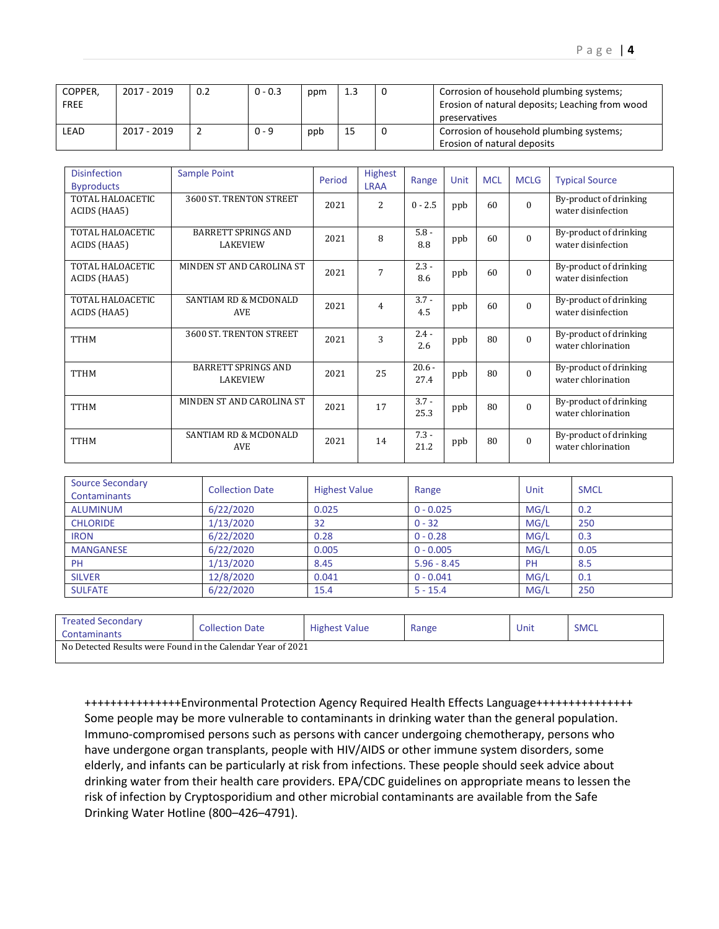| COPPER,<br><b>FREE</b> | 2017 - 2019 | 0.2 | $0 - 0.3$ | ppm | 1.3 | Corrosion of household plumbing systems;<br>Erosion of natural deposits; Leaching from wood<br>preservatives |
|------------------------|-------------|-----|-----------|-----|-----|--------------------------------------------------------------------------------------------------------------|
| LEAD                   | 2017 - 2019 |     | $0 - 9$   | ppb | 15  | Corrosion of household plumbing systems;<br>Erosion of natural deposits                                      |

| <b>Disinfection</b><br><b>Byproducts</b> | Sample Point                                   | Period | <b>Highest</b><br><b>LRAA</b> | Range            | Unit | <b>MCL</b> | <b>MCLG</b> | <b>Typical Source</b>                        |
|------------------------------------------|------------------------------------------------|--------|-------------------------------|------------------|------|------------|-------------|----------------------------------------------|
| TOTAL HALOACETIC<br>ACIDS (HAA5)         | 3600 ST. TRENTON STREET                        | 2021   | 2                             | $0 - 2.5$        | ppb  | 60         | $\Omega$    | By-product of drinking<br>water disinfection |
| TOTAL HALOACETIC<br>ACIDS (HAA5)         | <b>BARRETT SPRINGS AND</b><br><b>LAKEVIEW</b>  | 2021   | 8                             | $5.8 -$<br>8.8   | ppb  | 60         | $\Omega$    | By-product of drinking<br>water disinfection |
| TOTAL HALOACETIC<br>ACIDS (HAA5)         | MINDEN ST AND CAROLINA ST                      | 2021   | 7                             | $2.3 -$<br>8.6   | ppb  | 60         | $\Omega$    | By-product of drinking<br>water disinfection |
| TOTAL HALOACETIC<br>ACIDS (HAA5)         | <b>SANTIAM RD &amp; MCDONALD</b><br><b>AVE</b> | 2021   | 4                             | $3.7 -$<br>4.5   | ppb  | 60         | $\Omega$    | By-product of drinking<br>water disinfection |
| <b>TTHM</b>                              | 3600 ST. TRENTON STREET                        | 2021   | 3                             | $2.4 -$<br>2.6   | ppb  | 80         | $\Omega$    | By-product of drinking<br>water chlorination |
| <b>TTHM</b>                              | <b>BARRETT SPRINGS AND</b><br><b>LAKEVIEW</b>  | 2021   | 25                            | $20.6 -$<br>27.4 | ppb  | 80         | $\Omega$    | By-product of drinking<br>water chlorination |
| <b>TTHM</b>                              | MINDEN ST AND CAROLINA ST                      | 2021   | 17                            | $3.7 -$<br>25.3  | ppb  | 80         | $\Omega$    | By-product of drinking<br>water chlorination |
| <b>TTHM</b>                              | <b>SANTIAM RD &amp; MCDONALD</b><br><b>AVE</b> | 2021   | 14                            | $7.3 -$<br>21.2  | ppb  | 80         | $\Omega$    | By-product of drinking<br>water chlorination |

| <b>Source Secondary</b><br><b>Contaminants</b> | <b>Collection Date</b> | <b>Highest Value</b> | Range         | Unit      | <b>SMCL</b> |
|------------------------------------------------|------------------------|----------------------|---------------|-----------|-------------|
| ALUMINUM                                       | 6/22/2020              | 0.025                | $0 - 0.025$   | MG/L      | 0.2         |
| <b>CHLORIDE</b>                                | 1/13/2020              | 32                   | $0 - 32$      | MG/L      | 250         |
| <b>IRON</b>                                    | 6/22/2020              | 0.28                 | $0 - 0.28$    | MG/L      | 0.3         |
| <b>MANGANESE</b>                               | 6/22/2020              | 0.005                | $0 - 0.005$   | MG/L      | 0.05        |
| PH                                             | 1/13/2020              | 8.45                 | $5.96 - 8.45$ | <b>PH</b> | 8.5         |
| <b>SILVER</b>                                  | 12/8/2020              | 0.041                | $0 - 0.041$   | MG/L      | 0.1         |
| <b>SULFATE</b>                                 | 6/22/2020              | 15.4                 | $5 - 15.4$    | MG/L      | 250         |

| <b>Treated Secondary</b><br>Contaminants                    | <b>Collection Date</b> | <b>Highest Value</b> | Range | Unit | <b>SMCL</b> |
|-------------------------------------------------------------|------------------------|----------------------|-------|------|-------------|
| No Detected Results were Found in the Calendar Year of 2021 |                        |                      |       |      |             |

+++++++++++++++Environmental Protection Agency Required Health Effects Language+++++++++++++++ Some people may be more vulnerable to contaminants in drinking water than the general population. Immuno-compromised persons such as persons with cancer undergoing chemotherapy, persons who have undergone organ transplants, people with HIV/AIDS or other immune system disorders, some elderly, and infants can be particularly at risk from infections. These people should seek advice about drinking water from their health care providers. EPA/CDC guidelines on appropriate means to lessen the risk of infection by Cryptosporidium and other microbial contaminants are available from the Safe Drinking Water Hotline (800–426–4791).